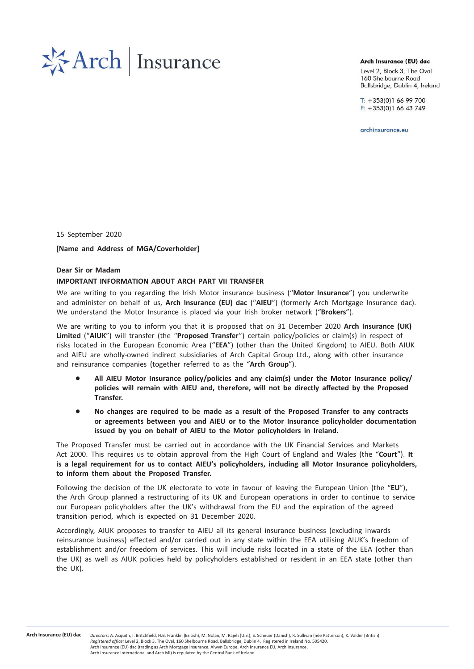

#### Arch Insurance (EU) dac

Level 2, Block 3, The Oval 160 Shelbourne Road Ballsbridge, Dublin 4, Ireland

 $T: +353(0)16699700$  $F: +353(0)16643749$ 

archinsurance.eu

15 September 2020

[Name and Address of MGA/Coverholder]

### Dear Sir or Madam

### IMPORTANT INFORMATION ABOUT ARCH PART VII TRANSFER

We are writing to you regarding the Irish Motor insurance business ("Motor Insurance") you underwrite and administer on behalf of us, Arch Insurance (EU) dac ("AIEU") (formerly Arch Mortgage Insurance dac). We understand the Motor Insurance is placed via your Irish broker network ("Brokers").

We are writing to you to inform you that it is proposed that on 31 December 2020 Arch Insurance (UK) Limited ("AIUK") will transfer (the "Proposed Transfer") certain policy/policies or claim(s) in respect of risks located in the European Economic Area ("EEA") (other than the United Kingdom) to AIEU. Both AIUK and AIEU are wholly-owned indirect subsidiaries of Arch Capital Group Ltd., along with other insurance and reinsurance companies (together referred to as the "Arch Group").

- All AIEU Motor Insurance policy/policies and any claim(s) under the Motor Insurance policy/ policies will remain with AIEU and, therefore, will not be directly affected by the Proposed Transfer.
- No changes are required to be made as a result of the Proposed Transfer to any contracts or agreements between you and AIEU or to the Motor Insurance policyholder documentation issued by you on behalf of AIEU to the Motor policyholders in Ireland.

The Proposed Transfer must be carried out in accordance with the UK Financial Services and Markets Act 2000. This requires us to obtain approval from the High Court of England and Wales (the "Court"). It is a legal requirement for us to contact AIEU's policyholders, including all Motor Insurance policyholders, to inform them about the Proposed Transfer.

Following the decision of the UK electorate to vote in favour of leaving the European Union (the "EU"), the Arch Group planned a restructuring of its UK and European operations in order to continue to service our European policyholders after the UK's withdrawal from the EU and the expiration of the agreed transition period, which is expected on 31 December 2020.

Accordingly, AIUK proposes to transfer to AIEU all its general insurance business (excluding inwards reinsurance business) effected and/or carried out in any state within the EEA utilising AIUK's freedom of establishment and/or freedom of services. This will include risks located in a state of the EEA (other than the UK) as well as AIUK policies held by policyholders established or resident in an EEA state (other than the UK).